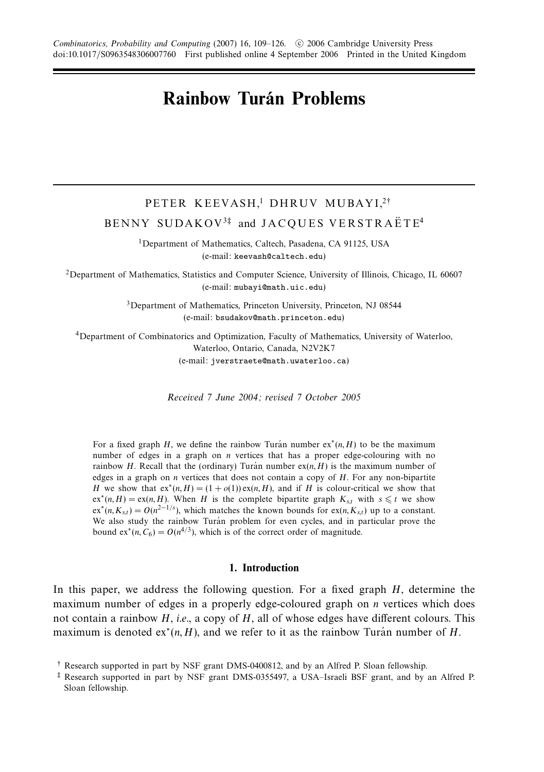# **Rainbow Turán Problems**

## PETER KEEVASH,<sup>1</sup> DHRUV MUBAYI,<sup>2†</sup> BENNY SUDAKOV<sup>3‡</sup> and JACQUES VERSTRAËTE<sup>4</sup>

1Department of Mathematics, Caltech, Pasadena, CA 91125, USA (e-mail: keevash@caltech.edu)

2Department of Mathematics, Statistics and Computer Science, University of Illinois, Chicago, IL 60607 (e-mail: mubayi@math.uic.edu)

> 3Department of Mathematics, Princeton University, Princeton, NJ 08544 (e-mail: bsudakov@math.princeton.edu)

4Department of Combinatorics and Optimization, Faculty of Mathematics, University of Waterloo, Waterloo, Ontario, Canada, N2V2K7 (e-mail: jverstraete@math.uwaterloo.ca)

Received 7 June 2004; revised 7 October 2005

For a fixed graph *H*, we define the rainbow Turan number  $ex^{*}(n, H)$  to be the maximum number of edges in a graph on *n* vertices that has a proper edge-colouring with no rainbow *H*. Recall that the (ordinary) Turan number  $ex(n, H)$  is the maximum number of edges in a graph on *n* vertices that does not contain a copy of *H*. For any non-bipartite *H* we show that  $ex^{*}(n, H) = (1 + o(1)) ex(n, H)$ , and if *H* is colour-critical we show that  $ex^*(n, H) = ex(n, H)$ . When *H* is the complete bipartite graph  $K_{st}$  with  $s \leq t$  we show  $ex^*(n, K_{st}) = O(n^{2-1/s})$ , which matches the known bounds for  $ex(n, K_{st})$  up to a constant. We also study the rainbow Turán problem for even cycles, and in particular prove the bound  $ex^*(n, C_6) = O(n^{4/3})$ , which is of the correct order of magnitude.

### **1. Introduction**

In this paper, we address the following question. For a fixed graph *H*, determine the maximum number of edges in a properly edge-coloured graph on *n* vertices which does not contain a rainbow *H*, *i.e.*, a copy of *H*, all of whose edges have different colours. This maximum is denoted  $ex^*(n, H)$ , and we refer to it as the rainbow Turán number of H.

<sup>†</sup> Research supported in part by NSF grant DMS-0400812, and by an Alfred P. Sloan fellowship.

<sup>‡</sup> Research supported in part by NSF grant DMS-0355497, a USA–Israeli BSF grant, and by an Alfred P. Sloan fellowship.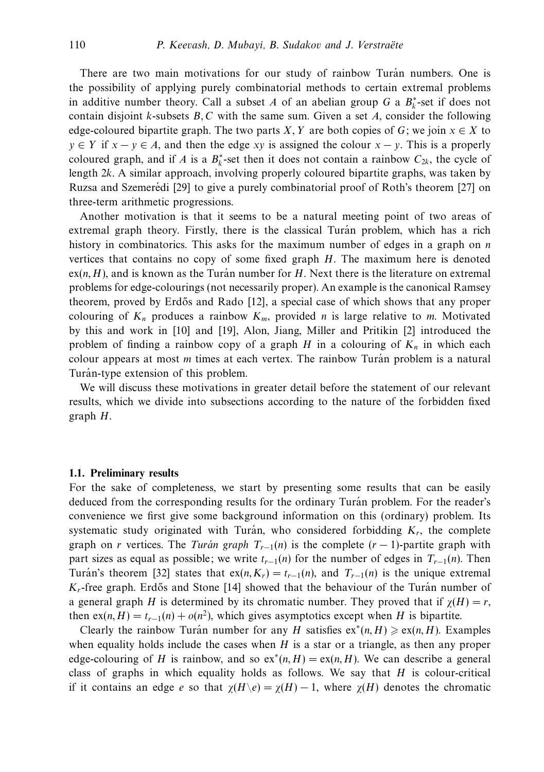There are two main motivations for our study of rainbow Turán numbers. One is the possibility of applying purely combinatorial methods to certain extremal problems in additive number theory. Call a subset *A* of an abelian group *G* a  $B_k^*$ -set if does not contain disjoint *k*-subsets *B,C* with the same sum. Given a set *A*, consider the following edge-coloured bipartite graph. The two parts *X*, *Y* are both copies of *G*; we join  $x \in X$  to  $y \in Y$  if  $x - y \in A$ , and then the edge *xy* is assigned the colour  $x - y$ . This is a properly coloured graph, and if *A* is a  $B_k^*$ -set then it does not contain a rainbow  $C_{2k}$ , the cycle of length 2*k*. A similar approach, involving properly coloured bipartite graphs, was taken by Ruzsa and Szemerédi [29] to give a purely combinatorial proof of Roth's theorem [27] on three-term arithmetic progressions.

Another motivation is that it seems to be a natural meeting point of two areas of extremal graph theory. Firstly, there is the classical Turán problem, which has a rich history in combinatorics. This asks for the maximum number of edges in a graph on *n* vertices that contains no copy of some fixed graph *H*. The maximum here is denoted  $ex(n, H)$ , and is known as the Turan number for  $H$ . Next there is the literature on extremal problems for edge-colourings (not necessarily proper). An example is the canonical Ramsey theorem, proved by Erd˝os and Rado [12], a special case of which shows that any proper colouring of  $K_n$  produces a rainbow  $K_m$ , provided *n* is large relative to *m*. Motivated by this and work in [10] and [19], Alon, Jiang, Miller and Pritikin [2] introduced the problem of finding a rainbow copy of a graph  $H$  in a colouring of  $K_n$  in which each colour appears at most *m* times at each vertex. The rainbow Turán problem is a natural Turán-type extension of this problem.

We will discuss these motivations in greater detail before the statement of our relevant results, which we divide into subsections according to the nature of the forbidden fixed graph *H*.

#### **1.1. Preliminary results**

For the sake of completeness, we start by presenting some results that can be easily deduced from the corresponding results for the ordinary Turán problem. For the reader's convenience we first give some background information on this (ordinary) problem. Its systematic study originated with Turan, who considered forbidding  $K_r$ , the complete graph on *r* vertices. The Turán graph  $T_{r-1}(n)$  is the complete  $(r-1)$ -partite graph with part sizes as equal as possible; we write  $t_{r-1}(n)$  for the number of edges in  $T_{r-1}(n)$ . Then Turán's theorem [32] states that  $ex(n, K_r) = t_{r-1}(n)$ , and  $T_{r-1}(n)$  is the unique extremal  $K_r$ -free graph. Erdős and Stone [14] showed that the behaviour of the Turan number of a general graph *H* is determined by its chromatic number. They proved that if  $\chi(H) = r$ , then  $ex(n, H) = t_{r-1}(n) + o(n^2)$ , which gives asymptotics except when *H* is bipartite.

Clearly the rainbow Turan number for any *H* satisfies  $ex^{*}(n, H) \geqslant ex(n, H)$ . Examples when equality holds include the cases when *H* is a star or a triangle, as then any proper edge-colouring of *H* is rainbow, and so  $ex^*(n, H) = ex(n, H)$ . We can describe a general class of graphs in which equality holds as follows. We say that *H* is colour-critical if it contains an edge *e* so that  $\chi(H \backslash e) = \chi(H) - 1$ , where  $\chi(H)$  denotes the chromatic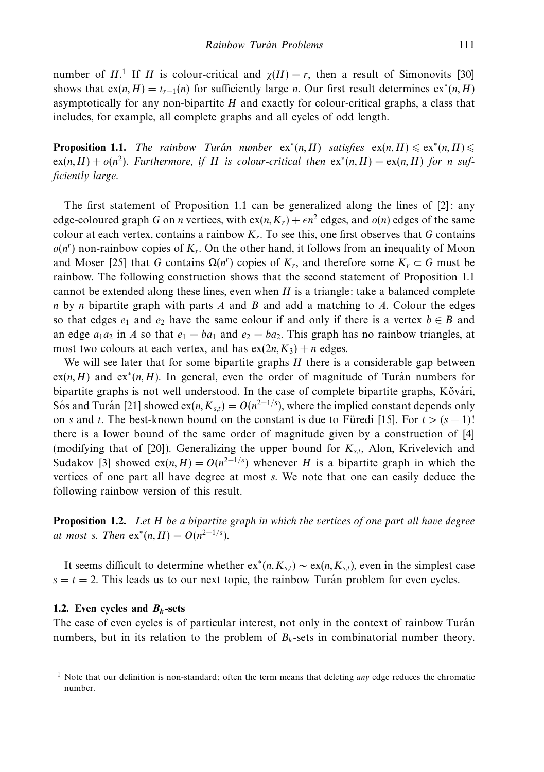number of *H*.<sup>1</sup> If *H* is colour-critical and  $\chi(H) = r$ , then a result of Simonovits [30] shows that  $ex(n, H) = t_{r-1}(n)$  for sufficiently large *n*. Our first result determines  $ex^*(n, H)$ asymptotically for any non-bipartite *H* and exactly for colour-critical graphs, a class that includes, for example, all complete graphs and all cycles of odd length.

**Proposition 1.1.** The rainbow Turán number  $ex^*(n, H)$  satisfies  $ex(n, H) \leqslant ex^*(n, H) \leqslant$  $ex(n, H) + o(n^2)$ . Furthermore, if *H* is colour-critical then  $ex^*(n, H) = ex(n, H)$  for *n* sufficiently large.

The first statement of Proposition 1.1 can be generalized along the lines of [2]: any edge-coloured graph *G* on *n* vertices, with  $ex(n, K_r) + \epsilon n^2$  edges, and  $o(n)$  edges of the same colour at each vertex, contains a rainbow  $K_r$ . To see this, one first observes that *G* contains  $o(n^r)$  non-rainbow copies of  $K_r$ . On the other hand, it follows from an inequality of Moon and Moser [25] that *G* contains  $\Omega(n^r)$  copies of  $K_r$ , and therefore some  $K_r \subset G$  must be rainbow. The following construction shows that the second statement of Proposition 1.1 cannot be extended along these lines, even when *H* is a triangle: take a balanced complete *n* by *n* bipartite graph with parts *A* and *B* and add a matching to *A*. Colour the edges so that edges  $e_1$  and  $e_2$  have the same colour if and only if there is a vertex  $b \in B$  and an edge  $a_1a_2$  in *A* so that  $e_1 = ba_1$  and  $e_2 = ba_2$ . This graph has no rainbow triangles, at most two colours at each vertex, and has  $ex(2n, K_3) + n$  edges.

We will see later that for some bipartite graphs *H* there is a considerable gap between  $ex(n, H)$  and  $ex^*(n, H)$ . In general, even the order of magnitude of Turan numbers for bipartite graphs is not well understood. In the case of complete bipartite graphs, Kővári, Sos and Turán [21] showed ex( $n, K_{s,t}$ ) =  $O(n^{2-1/s})$ , where the implied constant depends only on *s* and *t*. The best-known bound on the constant is due to Füredi [15]. For  $t > (s - 1)!$ there is a lower bound of the same order of magnitude given by a construction of [4] (modifying that of [20]). Generalizing the upper bound for *Ks,t*, Alon, Krivelevich and Sudakov [3] showed ex(*n*, *H*) =  $O(n^{2-1/s})$  whenever *H* is a bipartite graph in which the vertices of one part all have degree at most *s*. We note that one can easily deduce the following rainbow version of this result.

**Proposition 1.2.** Let *H* be a bipartite graph in which the vertices of one part all have degree *at most s. Then*  $ex^{*}(n, H) = O(n^{2-1/s})$ .

It seems difficult to determine whether  $ex<sup>*</sup>(n, K<sub>s,t</sub>)$  ∼ ex( $n, K<sub>s,t</sub>$ ), even in the simplest case  $s = t = 2$ . This leads us to our next topic, the rainbow Turán problem for even cycles.

### **1.2.** Even cycles and  $B_k$ -sets

The case of even cycles is of particular interest, not only in the context of rainbow Turán numbers, but in its relation to the problem of  $B_k$ -sets in combinatorial number theory.

<sup>&</sup>lt;sup>1</sup> Note that our definition is non-standard; often the term means that deleting *any* edge reduces the chromatic number.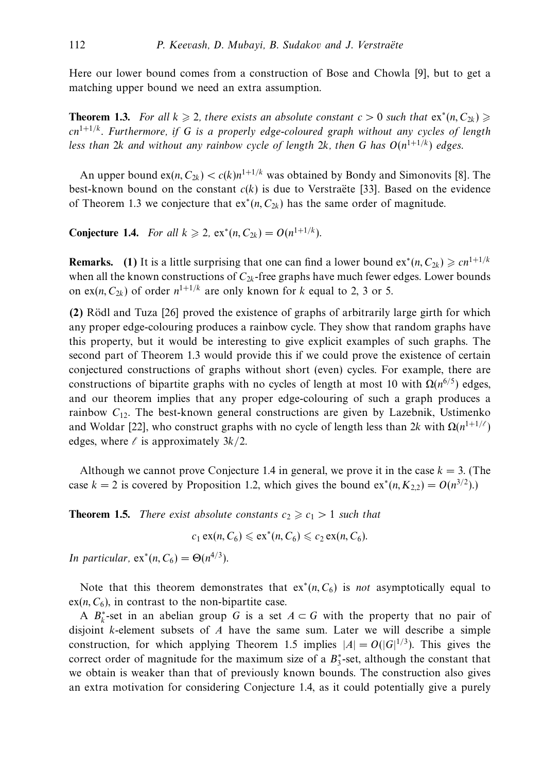Here our lower bound comes from a construction of Bose and Chowla [9], but to get a matching upper bound we need an extra assumption.

**Theorem 1.3.** For all  $k \ge 2$ , there exists an absolute constant  $c > 0$  such that  $ex^*(n, C_{2k}) \ge$ *cn*1+1*/k*. Furthermore, if *G* is a properly edge-coloured graph without any cycles of length less than 2*k* and without any rainbow cycle of length 2*k*, then *G* has  $O(n^{1+1/k})$  edges.

An upper bound  $ex(n, C_{2k}) < c(k)n^{1+1/k}$  was obtained by Bondy and Simonovits [8]. The best-known bound on the constant  $c(k)$  is due to Verstraëte [33]. Based on the evidence of Theorem 1.3 we conjecture that  $ex^*(n, C_{2k})$  has the same order of magnitude.

**Conjecture 1.4.** For all  $k \ge 2$ , ex<sup>\*</sup>(*n*, *C*<sub>2*k*</sub>) = *O*(*n*<sup>1+1/*k*</sup>).

**Remarks.** (1) It is a little surprising that one can find a lower bound  $ex^*(n, C_{2k}) \geq cn^{1+1/k}$ when all the known constructions of  $C_{2k}$ -free graphs have much fewer edges. Lower bounds on ex(*n*,  $C_{2k}$ ) of order  $n^{1+1/k}$  are only known for *k* equal to 2, 3 or 5.

**(2)** Rodl and Tuza [26] proved the existence of graphs of arbitrarily large girth for which ¨ any proper edge-colouring produces a rainbow cycle. They show that random graphs have this property, but it would be interesting to give explicit examples of such graphs. The second part of Theorem 1.3 would provide this if we could prove the existence of certain conjectured constructions of graphs without short (even) cycles. For example, there are constructions of bipartite graphs with no cycles of length at most 10 with Ω(*n*<sup>6</sup>*/*5) edges, and our theorem implies that any proper edge-colouring of such a graph produces a rainbow  $C_{12}$ . The best-known general constructions are given by Lazebnik, Ustimenko and Woldar [22], who construct graphs with no cycle of length less than 2*k* with  $\Omega(n^{1+1/\ell})$ edges, where  $\ell$  is approximately  $3k/2$ .

Although we cannot prove Conjecture 1.4 in general, we prove it in the case  $k = 3$ . (The case  $k = 2$  is covered by Proposition 1.2, which gives the bound  $ex^*(n, K_{2,2}) = O(n^{3/2}).$ 

**Theorem 1.5.** There exist absolute constants  $c_2 \geq c_1 > 1$  such that

 $c_1 \operatorname{ex}(n, C_6) \leq \operatorname{ex}^*(n, C_6) \leq c_2 \operatorname{ex}(n, C_6).$ 

*In particular,*  $ex^*(n, C_6) = \Theta(n^{4/3})$ .

Note that this theorem demonstrates that  $ex^*(n, C_6)$  is *not* asymptotically equal to  $ex(n, C_6)$ , in contrast to the non-bipartite case.

A  $B_k^*$ -set in an abelian group *G* is a set  $A \subset G$  with the property that no pair of disjoint *k*-element subsets of *A* have the same sum. Later we will describe a simple construction, for which applying Theorem 1.5 implies  $|A| = O(|G|^{1/3})$ . This gives the correct order of magnitude for the maximum size of a  $B_3^*$ -set, although the constant that we obtain is weaker than that of previously known bounds. The construction also gives an extra motivation for considering Conjecture 1.4, as it could potentially give a purely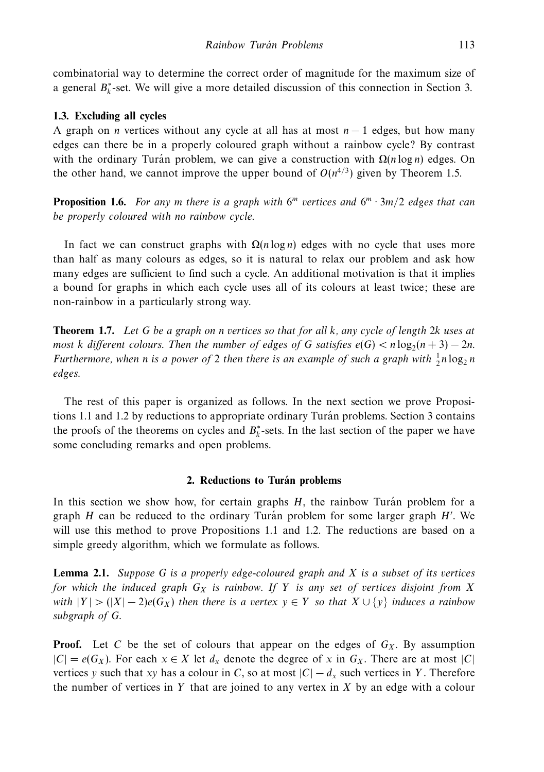combinatorial way to determine the correct order of magnitude for the maximum size of a general  $B_k^*$ -set. We will give a more detailed discussion of this connection in Section 3.

### **1.3. Excluding all cycles**

A graph on *n* vertices without any cycle at all has at most *n* − 1 edges, but how many edges can there be in a properly coloured graph without a rainbow cycle? By contrast with the ordinary Turan problem, we can give a construction with  $\Omega(n \log n)$  edges. On the other hand, we cannot improve the upper bound of  $O(n^{4/3})$  given by Theorem 1.5.

**Proposition 1.6.** For any *m* there is a graph with  $6^m$  vertices and  $6^m \cdot 3m/2$  edges that can be properly coloured with no rainbow cycle.

In fact we can construct graphs with  $\Omega(n \log n)$  edges with no cycle that uses more than half as many colours as edges, so it is natural to relax our problem and ask how many edges are sufficient to find such a cycle. An additional motivation is that it implies a bound for graphs in which each cycle uses all of its colours at least twice; these are non-rainbow in a particularly strong way.

**Theorem 1.7.** Let *G* be a graph on *n* vertices so that for all *k*, any cycle of length 2*k* uses at most *k* different colours. Then the number of edges of *G* satisfies  $e(G) < n \log_2(n+3) - 2n$ . Furthermore, when *n* is a power of 2 then there is an example of such a graph with  $\frac{1}{2}n \log_2 n$ edges.

The rest of this paper is organized as follows. In the next section we prove Propositions 1.1 and 1.2 by reductions to appropriate ordinary Turan problems. Section 3 contains the proofs of the theorems on cycles and  $B_k^*$ -sets. In the last section of the paper we have some concluding remarks and open problems.

### **2. Reductions to Turan problems ´**

In this section we show how, for certain graphs  $H$ , the rainbow Turan problem for a graph *H* can be reduced to the ordinary Turán problem for some larger graph *H'*. We will use this method to prove Propositions 1.1 and 1.2. The reductions are based on a simple greedy algorithm, which we formulate as follows.

**Lemma 2.1.** Suppose *G* is a properly edge-coloured graph and *X* is a subset of its vertices for which the induced graph  $G_X$  is rainbow. If Y is any set of vertices disjoint from X with  $|Y| > (|X| - 2)e(G_X)$  then there is a vertex  $y \in Y$  so that  $X \cup \{y\}$  induces a rainbow subgraph of *G*.

**Proof.** Let C be the set of colours that appear on the edges of  $G_X$ . By assumption  $|C|$  =  $e(G_X)$ . For each *x* ∈ *X* let  $d_X$  denote the degree of *x* in  $G_X$ . There are at most |*C*| vertices *y* such that *xy* has a colour in *C*, so at most  $|C| - d_x$  such vertices in *Y*. Therefore the number of vertices in *Y* that are joined to any vertex in *X* by an edge with a colour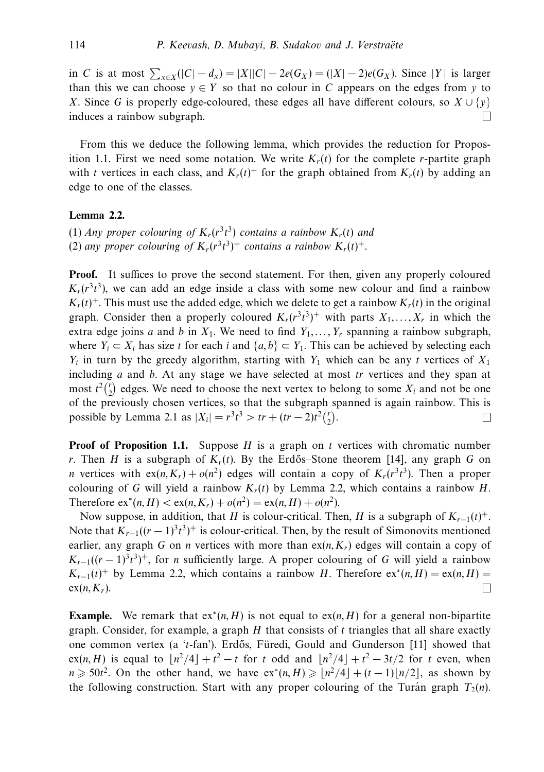in *C* is at most  $\sum_{x \in X} (|C| - d_x) = |X||C| - 2e(G_X) = (|X| - 2)e(G_X)$ . Since |*Y* | is larger than this we can choose  $y \in Y$  so that no colour in C appears on the edges from y to *X*. Since *G* is properly edge-coloured, these edges all have different colours, so  $X \cup \{v\}$ induces a rainbow subgraph.  $\Box$ 

From this we deduce the following lemma, which provides the reduction for Proposition 1.1. First we need some notation. We write  $K_r(t)$  for the complete *r*-partite graph with *t* vertices in each class, and  $K_r(t)^+$  for the graph obtained from  $K_r(t)$  by adding an edge to one of the classes.

### **Lemma 2.2.**

(1) Any proper colouring of  $K_r(r^3t^3)$  contains a rainbow  $K_r(t)$  and (2) any proper colouring of  $K_r(r^3t^3)^+$  contains a rainbow  $K_r(t)^+$ .

**Proof.** It suffices to prove the second statement. For then, given any properly coloured  $K_r(r^3t^3)$ , we can add an edge inside a class with some new colour and find a rainbow  $K_r(t)^+$ . This must use the added edge, which we delete to get a rainbow  $K_r(t)$  in the original graph. Consider then a properly coloured  $K_r(r^3t^3)^+$  with parts  $X_1, \ldots, X_r$  in which the extra edge joins *a* and *b* in  $X_1$ . We need to find  $Y_1, \ldots, Y_r$  spanning a rainbow subgraph, where  $Y_i \subset X_i$  has size t for each i and  $\{a, b\} \subset Y_1$ . This can be achieved by selecting each  $Y_i$  in turn by the greedy algorithm, starting with  $Y_1$  which can be any *t* vertices of  $X_1$ including *a* and *b*. At any stage we have selected at most *tr* vertices and they span at most  $t^2\binom{r}{2}$  edges. We need to choose the next vertex to belong to some  $X_i$  and not be one of the previously chosen vertices, so that the subgraph spanned is again rainbow. This is possible by Lemma 2.1 as  $|X_i| = r^3 t^3 > tr + (tr - 2)t^2 {r \choose 2}$ .  $\Box$ 

**Proof of Proposition 1.1.** Suppose *H* is a graph on *t* vertices with chromatic number *r*. Then *H* is a subgraph of  $K_r(t)$ . By the Erdős–Stone theorem [14], any graph *G* on *n* vertices with  $ex(n, K_r) + o(n^2)$  edges will contain a copy of  $K_r(r^3t^3)$ . Then a proper colouring of *G* will yield a rainbow  $K_r(t)$  by Lemma 2.2, which contains a rainbow *H*. Therefore  $ex^*(n, H) < ex(n, K_r) + o(n^2) = ex(n, H) + o(n^2)$ .

Now suppose, in addition, that *H* is colour-critical. Then, *H* is a subgraph of  $K_{r-1}(t)^+$ . Note that  $K_{r-1}((r-1)^3t^3)^+$  is colour-critical. Then, by the result of Simonovits mentioned earlier, any graph *G* on *n* vertices with more than  $ex(n, K_r)$  edges will contain a copy of  $K_{r-1}((r-1)^3t^3)^+$ , for *n* sufficiently large. A proper colouring of *G* will yield a rainbow  $K_{r-1}(t)^+$  by Lemma 2.2, which contains a rainbow *H*. Therefore  $ex^*(n, H) = ex(n, H)$  $\Box$  $ex(n, K_r)$ .

**Example.** We remark that  $ex^{*}(n, H)$  is not equal to  $ex(n, H)$  for a general non-bipartite graph. Consider, for example, a graph *H* that consists of *t* triangles that all share exactly one common vertex (a '*t*-fan'). Erd˝os, Furedi, Gould and Gunderson [11] showed that ¨  $ex(n, H)$  is equal to  $\lfloor n^2/4 \rfloor + t^2 - t$  for *t* odd and  $\lfloor n^2/4 \rfloor + t^2 - 3t/2$  for *t* even, when  $n \ge 50t^2$ . On the other hand, we have  $ex^*(n, H) \ge [n^2/4] + (t-1)[n/2]$ , as shown by the following construction. Start with any proper colouring of the Turán graph  $T_2(n)$ .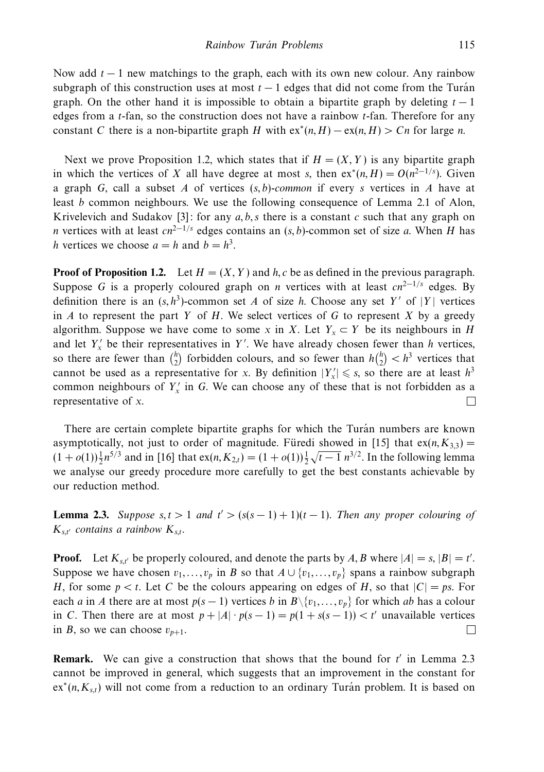Now add *t* − 1 new matchings to the graph, each with its own new colour. Any rainbow subgraph of this construction uses at most  $t - 1$  edges that did not come from the Turán graph. On the other hand it is impossible to obtain a bipartite graph by deleting  $t - 1$ edges from a *t*-fan, so the construction does not have a rainbow *t*-fan. Therefore for any constant *C* there is a non-bipartite graph *H* with  $ex^*(n, H) - ex(n, H) > Cn$  for large *n*.

Next we prove Proposition 1.2, which states that if  $H = (X, Y)$  is any bipartite graph in which the vertices of *X* all have degree at most *s*, then  $ex^*(n, H) = O(n^{2-1/s})$ . Given a graph *G*, call a subset *A* of vertices (*s, b*)-common if every *s* vertices in *A* have at least *b* common neighbours. We use the following consequence of Lemma 2.1 of Alon, Krivelevich and Sudakov  $[3]$ : for any  $a, b, s$  there is a constant  $c$  such that any graph on *n* vertices with at least  $cn^{2-1/s}$  edges contains an  $(s, b)$ -common set of size *a*. When *H* has *h* vertices we choose  $a = h$  and  $b = h^3$ .

**Proof of Proposition 1.2.** Let  $H = (X, Y)$  and  $h, c$  be as defined in the previous paragraph. Suppose *G* is a properly coloured graph on *n* vertices with at least  $cn^{2-1/s}$  edges. By definition there is an  $(s, h^3)$ -common set *A* of size *h*. Choose any set *Y'* of |*Y*| vertices in *A* to represent the part *Y* of *H*. We select vertices of *G* to represent *X* by a greedy algorithm. Suppose we have come to some *x* in *X*. Let  $Y_x \subset Y$  be its neighbours in *H* and let  $Y'_x$  be their representatives in Y'. We have already chosen fewer than *h* vertices, so there are fewer than  $\binom{h}{2}$  forbidden colours, and so fewer than  $h\binom{h}{2} < h^3$  vertices that cannot be used as a representative for *x*. By definition  $|Y_x| \le s$ , so there are at least  $h^3$ common neighbours of  $Y'_x$  in G. We can choose any of these that is not forbidden as a representative of *x*.  $\Box$ 

There are certain complete bipartite graphs for which the Turán numbers are known asymptotically, not just to order of magnitude. Furedi showed in [15] that  $ex(n, K_{3,3}) =$  $(1 + o(1))\frac{1}{2}n^{5/3}$  and in [16] that  $ex(n, K_{2,t}) = (1 + o(1))\frac{1}{2}$  $\sqrt{t-1} n^{3/2}$ . In the following lemma we analyse our greedy procedure more carefully to get the best constants achievable by our reduction method.

**Lemma 2.3.** Suppose  $s, t > 1$  and  $t' > (s(s - 1) + 1)(t - 1)$ . Then any proper colouring of  $K_{s,t'}$  contains a rainbow  $K_{s,t}$ .

**Proof.** Let  $K_{s,t}$  be properly coloured, and denote the parts by A, B where  $|A| = s$ ,  $|B| = t'$ . Suppose we have chosen  $v_1, \ldots, v_p$  in *B* so that  $A \cup \{v_1, \ldots, v_p\}$  spans a rainbow subgraph *H*, for some  $p < t$ . Let *C* be the colours appearing on edges of *H*, so that  $|C| = ps$ . For each *a* in *A* there are at most  $p(s-1)$  vertices *b* in  $B \setminus \{v_1, \ldots, v_p\}$  for which *ab* has a colour in *C*. Then there are at most  $p + |A| \cdot p(s-1) = p(1 + s(s-1)) < t'$  unavailable vertices in *B*, so we can choose  $v_{n+1}$ . П

**Remark.** We can give a construction that shows that the bound for t' in Lemma 2.3 cannot be improved in general, which suggests that an improvement in the constant for ex<sup>∗</sup>(*n, K<sub>s,t</sub>*) will not come from a reduction to an ordinary Turán problem. It is based on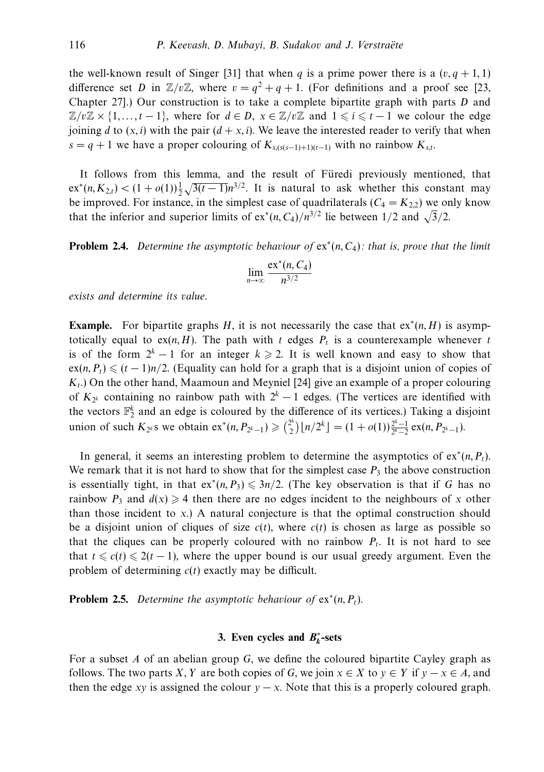the well-known result of Singer [31] that when *q* is a prime power there is a  $(v, q + 1, 1)$ difference set *D* in  $\mathbb{Z}/v\mathbb{Z}$ , where  $v = q^2 + q + 1$ . (For definitions and a proof see [23, Chapter 27].) Our construction is to take a complete bipartite graph with parts *D* and  $\mathbb{Z}/v\mathbb{Z} \times \{1,\ldots,t-1\}$ , where for  $d \in D$ ,  $x \in \mathbb{Z}/v\mathbb{Z}$  and  $1 \leq i \leq t-1$  we colour the edge joining *d* to  $(x, i)$  with the pair  $(d + x, i)$ . We leave the interested reader to verify that when  $s = q + 1$  we have a proper colouring of  $K_{s,(s(s-1)+1)(t-1)}$  with no rainbow  $K_{s,t}$ .

It follows from this lemma, and the result of Füredi previously mentioned, that  $\text{ex}^*(n, K_{2,t}) < (1 + o(1))\frac{1}{2}\sqrt{3(t-1)}n^{3/2}$ . It is natural to ask whether this constant may be improved. For instance, in the simplest case of quadrilaterals  $(C_4 = K_{2,2})$  we only know that the inferior and superior limits of ex<sup>∗</sup>(*n*, *C*<sub>4</sub>)/*n*<sup>3/2</sup> lie between 1/2 and  $\sqrt{3}/2$ .

**Problem 2.4.** Determine the asymptotic behaviour of  $ex^*(n, C_4)$ : that is, prove that the limit

$$
\lim_{n\to\infty}\frac{\mathrm{ex}^*(n, C_4)}{n^{3/2}}
$$

exists and determine its value.

**Example.** For bipartite graphs *H*, it is not necessarily the case that  $ex^*(n, H)$  is asymptotically equal to  $ex(n, H)$ . The path with *t* edges  $P_t$  is a counterexample whenever *t* is of the form  $2^k - 1$  for an integer  $k \ge 2$ . It is well known and easy to show that  $ex(n, P_t) \leq (t-1)n/2$ . (Equality can hold for a graph that is a disjoint union of copies of *Kt*.) On the other hand, Maamoun and Meyniel [24] give an example of a proper colouring of  $K_{2k}$  containing no rainbow path with  $2^k - 1$  edges. (The vertices are identified with the vectors  $\mathbb{F}_2^k$  and an edge is coloured by the difference of its vertices.) Taking a disjoint union of such  $K_{2^k}$ s we obtain ex<sup>\*</sup>(*n*,  $P_{2^k-1}$ ) ≥  $\binom{2^k}{2} \lfloor n/2^k \rfloor = (1 + o(1)) \frac{2^k-1}{2^k-2}$  ex(*n*,  $P_{2^k-1}$ ).

In general, it seems an interesting problem to determine the asymptotics of  $ex^*(n, P_t)$ . We remark that it is not hard to show that for the simplest case  $P_3$  the above construction is essentially tight, in that  $ex^*(n, P_3) \leq 3n/2$ . (The key observation is that if *G* has no rainbow  $P_3$  and  $d(x) \ge 4$  then there are no edges incident to the neighbours of *x* other than those incident to *x*.) A natural conjecture is that the optimal construction should be a disjoint union of cliques of size  $c(t)$ , where  $c(t)$  is chosen as large as possible so that the cliques can be properly coloured with no rainbow  $P_t$ . It is not hard to see that  $t \leq c(t) \leq 2(t-1)$ , where the upper bound is our usual greedy argument. Even the problem of determining *c*(*t*) exactly may be difficult.

**Problem 2.5.** Determine the asymptotic behaviour of  $ex^*(n, P_t)$ .

### **3. Even cycles and** *B***<sup>∗</sup>** *<sup>k</sup>***-sets**

For a subset *A* of an abelian group *G*, we define the coloured bipartite Cayley graph as follows. The two parts *X*, *Y* are both copies of *G*, we join  $x \in X$  to  $y \in Y$  if  $y - x \in A$ , and then the edge *xy* is assigned the colour  $y - x$ . Note that this is a properly coloured graph.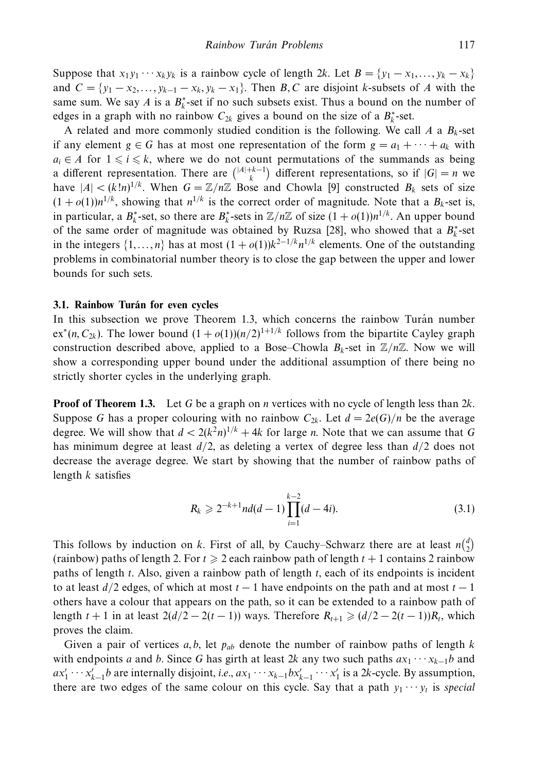Suppose that  $x_1y_1 \cdots x_ky_k$  is a rainbow cycle of length 2*k*. Let  $B = \{y_1 - x_1, \ldots, y_k - x_k\}$ and  $C = \{y_1 - x_2, \ldots, y_{k-1} - x_k, y_k - x_1\}$ . Then *B*, *C* are disjoint *k*-subsets of *A* with the same sum. We say *A* is a  $B_k^*$ -set if no such subsets exist. Thus a bound on the number of edges in a graph with no rainbow  $C_{2k}$  gives a bound on the size of a  $B_k^*$ -set.

A related and more commonly studied condition is the following. We call  $A$  a  $B_k$ -set if any element  $g \in G$  has at most one representation of the form  $g = a_1 + \cdots + a_k$  with  $a_i \in A$  for  $1 \leq i \leq k$ , where we do not count permutations of the summands as being a different representation. There are  $\binom{|A|+k-1}{k}$  different representations, so if  $|G| = n$  we have  $|A| < (k!n)^{1/k}$ . When  $G = \mathbb{Z}/n\mathbb{Z}$  Bose and Chowla [9] constructed  $B_k$  sets of size  $(1 + o(1))n^{1/k}$ , showing that  $n^{1/k}$  is the correct order of magnitude. Note that a  $B_k$ -set is, in particular, a  $B_k^*$ -set, so there are  $B_k^*$ -sets in  $\mathbb{Z}/n\mathbb{Z}$  of size  $(1 + o(1))n^{1/k}$ . An upper bound of the same order of magnitude was obtained by Ruzsa [28], who showed that a  $B_k^*$ -set in the integers  $\{1,\ldots,n\}$  has at most  $(1 + o(1))k^{2-1/k}n^{1/k}$  elements. One of the outstanding problems in combinatorial number theory is to close the gap between the upper and lower bounds for such sets.

### **3.1. Rainbow Turán for even cycles**

In this subsection we prove Theorem 1.3, which concerns the rainbow Turán number  $ex^*(n, C_{2k})$ . The lower bound  $(1 + o(1))(n/2)^{1+1/k}$  follows from the bipartite Cayley graph construction described above, applied to a Bose–Chowla  $B_k$ -set in  $\mathbb{Z}/n\mathbb{Z}$ . Now we will show a corresponding upper bound under the additional assumption of there being no strictly shorter cycles in the underlying graph.

**Proof of Theorem 1.3.** Let *G* be a graph on *n* vertices with no cycle of length less than 2*k*. Suppose *G* has a proper colouring with no rainbow  $C_{2k}$ . Let  $d = 2e(G)/n$  be the average degree. We will show that  $d < 2(k^2n)^{1/k} + 4k$  for large *n*. Note that we can assume that G has minimum degree at least *d/*2, as deleting a vertex of degree less than *d/*2 does not decrease the average degree. We start by showing that the number of rainbow paths of length *k* satisfies

$$
R_k \geqslant 2^{-k+1} n d(d-1) \prod_{i=1}^{k-2} (d-4i).
$$
 (3.1)

This follows by induction on *k*. First of all, by Cauchy–Schwarz there are at least  $n\binom{d}{2}$ (rainbow) paths of length 2. For  $t \geq 2$  each rainbow path of length  $t + 1$  contains 2 rainbow paths of length *t*. Also, given a rainbow path of length *t*, each of its endpoints is incident to at least  $d/2$  edges, of which at most  $t-1$  have endpoints on the path and at most  $t-1$ others have a colour that appears on the path, so it can be extended to a rainbow path of length  $t + 1$  in at least  $2(d/2 - 2(t-1))$  ways. Therefore  $R_{t+1} \geq (d/2 - 2(t-1))R_t$ , which proves the claim.

Given a pair of vertices *a, b*, let *pab* denote the number of rainbow paths of length *k* with endpoints *a* and *b*. Since *G* has girth at least 2*k* any two such paths  $ax_1 \cdots x_{k-1}b$  and  $ax'_1 \cdots x'_{k-1}b$  are internally disjoint, *i.e.*,  $ax_1 \cdots x_{k-1}bx'_{k-1} \cdots x'_1$  is a 2*k*-cycle. By assumption, there are two edges of the same colour on this cycle. Say that a path  $y_1 \cdots y_t$  is special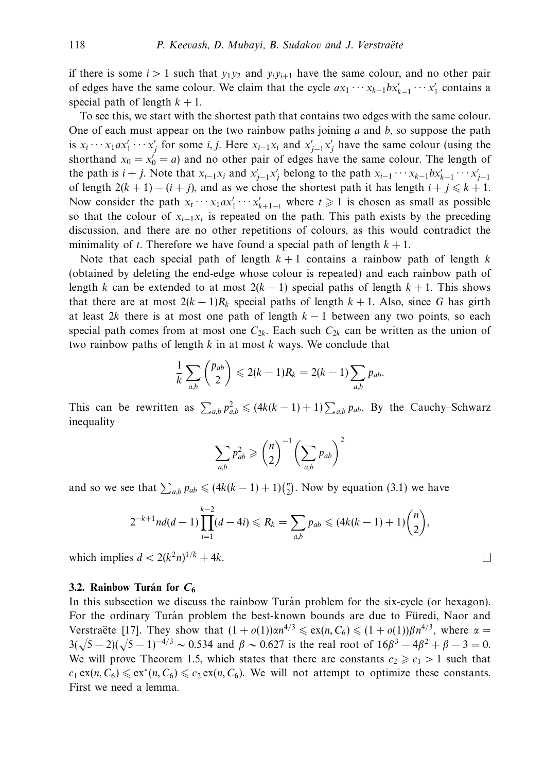if there is some  $i > 1$  such that  $y_1 y_2$  and  $y_i y_{i+1}$  have the same colour, and no other pair of edges have the same colour. We claim that the cycle  $ax_1 \cdots x_{k-1} bx'_{k-1} \cdots x'_1$  contains a special path of length  $k + 1$ .

To see this, we start with the shortest path that contains two edges with the same colour. One of each must appear on the two rainbow paths joining *a* and *b*, so suppose the path is  $x_i \cdots x_1 a x_1' \cdots x_j'$  for some *i, j.* Here  $x_{i-1} x_i$  and  $x_{j-1}' x_j'$  have the same colour (using the shorthand  $x_0 = x'_0 = a$ ) and no other pair of edges have the same colour. The length of the path is  $i + j$ . Note that  $x_{i-1}x_i$  and  $x'_{j-1}x'_j$  belong to the path  $x_{i-1} \cdots x_{k-1} bx'_{k-1} \cdots x'_{j-1}$ of length  $2(k + 1) - (i + j)$ , and as we chose the shortest path it has length  $i + j \leq k + 1$ . Now consider the path  $x_t \cdots x_1 a x'_1 \cdots x'_{k+1-t}$  where  $t \ge 1$  is chosen as small as possible so that the colour of  $x_{t-1}x_t$  is repeated on the path. This path exists by the preceding discussion, and there are no other repetitions of colours, as this would contradict the minimality of *t*. Therefore we have found a special path of length  $k + 1$ .

Note that each special path of length  $k+1$  contains a rainbow path of length  $k$ (obtained by deleting the end-edge whose colour is repeated) and each rainbow path of length *k* can be extended to at most  $2(k - 1)$  special paths of length  $k + 1$ . This shows that there are at most  $2(k-1)R_k$  special paths of length  $k+1$ . Also, since G has girth at least 2*k* there is at most one path of length  $k - 1$  between any two points, so each special path comes from at most one  $C_{2k}$ . Each such  $C_{2k}$  can be written as the union of two rainbow paths of length *k* in at most *k* ways. We conclude that

$$
\frac{1}{k}\sum_{a,b}\binom{p_{ab}}{2}\leqslant 2(k-1)R_k=2(k-1)\sum_{a,b}p_{ab}.
$$

This can be rewritten as  $\sum_{a,b} p_{a,b}^2 \leq (4k(k-1)+1) \sum_{a,b} p_{ab}$ . By the Cauchy–Schwarz inequality

$$
\sum_{a,b} p_{ab}^2 \geqslant {n \choose 2}^{-1} \left(\sum_{a,b} p_{ab}\right)^2
$$

and so we see that  $\sum_{a,b} p_{ab} \leq (4k(k-1)+1)\binom{n}{2}$ . Now by equation (3.1) we have

$$
2^{-k+1}nd(d-1)\prod_{i=1}^{k-2}(d-4i) \leq R_k = \sum_{a,b} p_{ab} \leq (4k(k-1)+1){\binom{n}{2}},
$$

 $\Box$ 

which implies  $d < 2(k^2n)^{1/k} + 4k$ .

### **3.2. Rainbow Turán for**  $C_6$

In this subsection we discuss the rainbow Turan problem for the six-cycle (or hexagon). For the ordinary Turán problem the best-known bounds are due to Füredi, Naor and Verstraëte [17]. They show that  $(1 + o(1))\alpha n^{4/3} \le \alpha n(n, C_6) \le (1 + o(1))\beta n^{4/3}$ , where  $\alpha =$ 3( $\sqrt{5} - 2$ )( $\sqrt{5} - 1$ )<sup>-4/3</sup> ~ 0.534 and *β* ~ 0.627 is the real root of  $16\beta^3 - 4\beta^2 + \beta - 3 = 0$ . We will prove Theorem 1.5, which states that there are constants  $c_2 \ge c_1 > 1$  such that  $c_1$  ex(*n*,  $C_6$ )  $\le$  ex<sup>\*</sup>(*n*,  $C_6$ )  $\le$   $c_2$  ex(*n*,  $C_6$ ). We will not attempt to optimize these constants. First we need a lemma.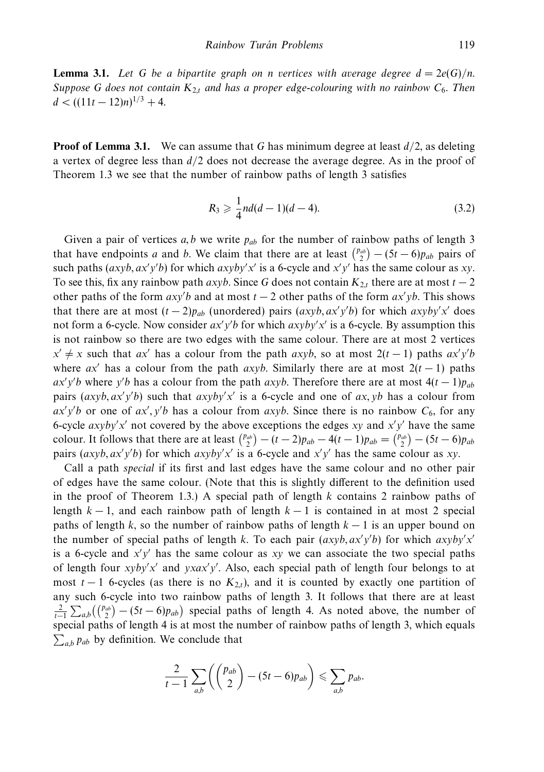**Lemma 3.1.** Let G be a bipartite graph on *n* vertices with average degree  $d = 2e(G)/n$ . Suppose *G* does not contain  $K_{2,t}$  and has a proper edge-colouring with no rainbow  $C_6$ . Then  $d < ((11t - 12)n)^{1/3} + 4.$ 

**Proof of Lemma 3.1.** We can assume that *G* has minimum degree at least  $d/2$ , as deleting a vertex of degree less than *d/*2 does not decrease the average degree. As in the proof of Theorem 1.3 we see that the number of rainbow paths of length 3 satisfies

$$
R_3 \geqslant \frac{1}{4}nd(d-1)(d-4). \tag{3.2}
$$

Given a pair of vertices *a, b* we write *pab* for the number of rainbow paths of length 3 that have endpoints *a* and *b*. We claim that there are at least  $\binom{p_{ab}}{2} - (5t - 6)p_{ab}$  pairs of such paths  $(axyb, ax'y'b)$  for which  $axyby'x'$  is a 6-cycle and  $x'y'$  has the same colour as *xy*. To see this, fix any rainbow path  $axyb$ . Since G does not contain  $K_{2,t}$  there are at most  $t-2$ other paths of the form  $axy'b$  and at most  $t - 2$  other paths of the form  $ax'yb$ . This shows that there are at most  $(t-2)p_{ab}$  (unordered) pairs  $(axyb, ax'y'b)$  for which  $axyby'x'$  does not form a 6-cycle. Now consider *ax y b* for which *axyby x* is a 6-cycle. By assumption this is not rainbow so there are two edges with the same colour. There are at most 2 vertices  $x' \neq x$  such that *ax'* has a colour from the path *axyb*, so at most 2(*t* − 1) paths *ax'y'b* where  $ax'$  has a colour from the path  $axyb$ . Similarly there are at most  $2(t-1)$  paths  $ax'y'b$  where *y'b* has a colour from the path  $axyb$ . Therefore there are at most  $4(t-1)p_{ab}$ pairs  $(axyb, ax'y'b)$  such that  $axyby'x'$  is a 6-cycle and one of  $ax, yb$  has a colour from  $ax'y'b$  or one of  $ax', y'b$  has a colour from  $axyb$ . Since there is no rainbow  $C_6$ , for any 6-cycle  $axyby'x'$  not covered by the above exceptions the edges  $xy$  and  $x'y'$  have the same colour. It follows that there are at least  $\binom{p_{ab}}{2} - (t-2)p_{ab} - 4(t-1)p_{ab} = \binom{p_{ab}}{2} - (5t-6)p_{ab}$ pairs  $(axyb, ax'y'b)$  for which  $axyby'x'$  is a 6-cycle and  $x'y'$  has the same colour as *xy*.

Call a path special if its first and last edges have the same colour and no other pair of edges have the same colour. (Note that this is slightly different to the definition used in the proof of Theorem 1.3.) A special path of length *k* contains 2 rainbow paths of length  $k - 1$ , and each rainbow path of length  $k - 1$  is contained in at most 2 special paths of length *k*, so the number of rainbow paths of length *k* − 1 is an upper bound on the number of special paths of length *k*. To each pair  $(axyb, ax'y'b)$  for which  $axyby'x'$ is a 6-cycle and *x y* has the same colour as *xy* we can associate the two special paths of length four *xyby x* and *yxax y* . Also, each special path of length four belongs to at most  $t-1$  6-cycles (as there is no  $K_{2,t}$ ), and it is counted by exactly one partition of any such 6-cycle into two rainbow paths of length 3. It follows that there are at least  $\frac{2}{t-1} \sum_{a,b} \left( \binom{p_{ab}}{2} - (5t-6)p_{ab} \right)$  special paths of length 4. As noted above, the number of special paths of length 4 is at most the number of rainbow paths of length 3, which equals  $\sum_{a,b} p_{ab}$  by definition. We conclude that

$$
\frac{2}{t-1}\sum_{a,b}\left(\binom{p_{ab}}{2}-(5t-6)p_{ab}\right)\leqslant \sum_{a,b}p_{ab}.
$$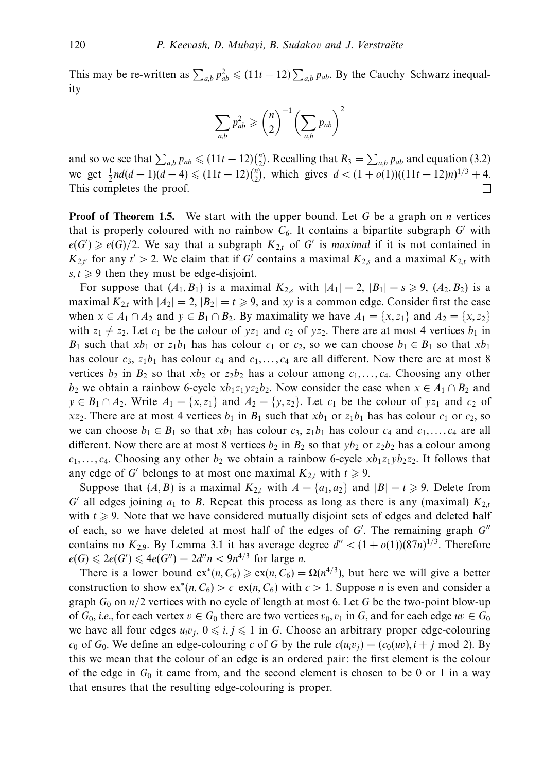This may be re-written as  $\sum_{a,b} p_{ab}^2 \le (11t - 12) \sum_{a,b} p_{ab}$ . By the Cauchy–Schwarz inequality

$$
\sum_{a,b} p_{ab}^2 \geq {n \choose 2}^{-1} \left(\sum_{a,b} p_{ab}\right)^2
$$

and so we see that  $\sum_{a,b} p_{ab} \leq (11t - 12)\binom{n}{2}$ . Recalling that  $R_3 = \sum_{a,b} p_{ab}$  and equation (3.2) we get  $\frac{1}{2}nd(d-1)(d-4) \leq (11t-12)\binom{n}{2}$ , which gives  $d < (1+o(1))((11t-12)n)^{1/3} + 4$ .  $\Box$ This completes the proof.

**Proof of Theorem 1.5.** We start with the upper bound. Let *G* be a graph on *n* vertices that is properly coloured with no rainbow  $C_6$ . It contains a bipartite subgraph  $G'$  with  $e(G') \geq e(G)/2$ . We say that a subgraph  $K_{2,t}$  of *G'* is *maximal* if it is not contained in  $K_{2,t'}$  for any  $t' > 2$ . We claim that if *G'* contains a maximal  $K_{2,s}$  and a maximal  $K_{2,t}$  with  $s, t \geq 9$  then they must be edge-disjoint.

For suppose that  $(A_1, B_1)$  is a maximal  $K_{2,s}$  with  $|A_1| = 2$ ,  $|B_1| = s \ge 9$ ,  $(A_2, B_2)$  is a maximal  $K_{2,t}$  with  $|A_2| = 2$ ,  $|B_2| = t \ge 9$ , and *xy* is a common edge. Consider first the case when  $x \in A_1 \cap A_2$  and  $y \in B_1 \cap B_2$ . By maximality we have  $A_1 = \{x, z_1\}$  and  $A_2 = \{x, z_2\}$ with  $z_1 \neq z_2$ . Let  $c_1$  be the colour of  $yz_1$  and  $c_2$  of  $yz_2$ . There are at most 4 vertices  $b_1$  in *B*<sub>1</sub> such that  $xb_1$  or  $z_1b_1$  has has colour  $c_1$  or  $c_2$ , so we can choose  $b_1 \in B_1$  so that  $xb_1$ has colour  $c_3$ ,  $z_1b_1$  has colour  $c_4$  and  $c_1, \ldots, c_4$  are all different. Now there are at most 8 vertices  $b_2$  in  $B_2$  so that  $xb_2$  or  $z_2b_2$  has a colour among  $c_1, \ldots, c_4$ . Choosing any other *b*<sub>2</sub> we obtain a rainbow 6-cycle  $x b_1 z_1 y z_2 b_2$ . Now consider the case when  $x \in A_1 \cap B_2$  and  $y \in B_1 \cap A_2$ . Write  $A_1 = \{x, z_1\}$  and  $A_2 = \{y, z_2\}$ . Let  $c_1$  be the colour of  $yz_1$  and  $c_2$  of *xz*<sub>2</sub>. There are at most 4 vertices  $b_1$  in  $B_1$  such that  $xb_1$  or  $z_1b_1$  has has colour  $c_1$  or  $c_2$ , so we can choose  $b_1 \in B_1$  so that  $xb_1$  has colour  $c_3$ ,  $z_1b_1$  has colour  $c_4$  and  $c_1, \ldots, c_4$  are all different. Now there are at most 8 vertices  $b_2$  in  $B_2$  so that  $yb_2$  or  $z_2b_2$  has a colour among  $c_1, \ldots, c_4$ . Choosing any other  $b_2$  we obtain a rainbow 6-cycle  $xb_1z_1yb_2z_2$ . It follows that any edge of *G'* belongs to at most one maximal  $K_{2,t}$  with  $t \ge 9$ .

Suppose that  $(A, B)$  is a maximal  $K_{2,t}$  with  $A = \{a_1, a_2\}$  and  $|B| = t \geq 9$ . Delete from *G'* all edges joining  $a_1$  to *B*. Repeat this process as long as there is any (maximal)  $K_{2,t}$ with  $t \geqslant 9$ . Note that we have considered mutually disjoint sets of edges and deleted half of each, so we have deleted at most half of the edges of *G* . The remaining graph *G* contains no  $K_{2,9}$ . By Lemma 3.1 it has average degree  $d'' < (1 + o(1))(87n)^{1/3}$ . Therefore  $e(G) \le 2e(G') \le 4e(G'') = 2d''n < 9n^{4/3}$  for large *n*.

There is a lower bound  $ex^*(n, C_6) \ge ex(n, C_6) = \Omega(n^{4/3})$ , but here we will give a better construction to show  $ex*(n, C_6) > c \cdot ex(n, C_6)$  with  $c > 1$ . Suppose *n* is even and consider a graph  $G_0$  on  $n/2$  vertices with no cycle of length at most 6. Let G be the two-point blow-up of  $G_0$ , *i.e.*, for each vertex  $v \in G_0$  there are two vertices  $v_0, v_1$  in G, and for each edge  $uv \in G_0$ we have all four edges  $u_i v_j$ ,  $0 \le i, j \le 1$  in *G*. Choose an arbitrary proper edge-colouring  $c_0$  of  $G_0$ . We define an edge-colouring *c* of *G* by the rule  $c(u_iv_j)=(c_0(uv), i + j \text{ mod } 2)$ . By this we mean that the colour of an edge is an ordered pair: the first element is the colour of the edge in  $G_0$  it came from, and the second element is chosen to be 0 or 1 in a way that ensures that the resulting edge-colouring is proper.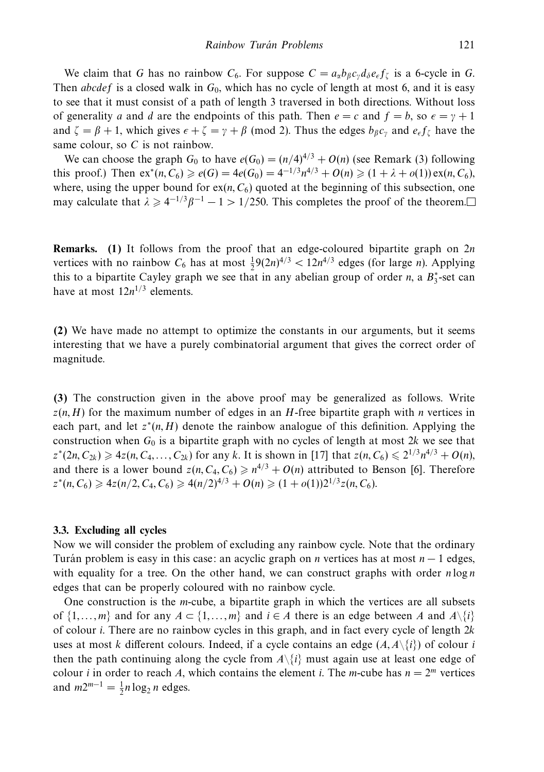We claim that *G* has no rainbow  $C_6$ . For suppose  $C = a_\alpha b_\beta c_\gamma d_\delta e_\epsilon f_\zeta$  is a 6-cycle in *G*. Then *abcdef* is a closed walk in  $G_0$ , which has no cycle of length at most 6, and it is easy to see that it must consist of a path of length 3 traversed in both directions. Without loss of generality *a* and *d* are the endpoints of this path. Then  $e = c$  and  $f = b$ , so  $\epsilon = \gamma + 1$ and  $\zeta = \beta + 1$ , which gives  $\epsilon + \zeta = \gamma + \beta$  (mod 2). Thus the edges  $b_\beta c_\gamma$  and  $e_\epsilon f_\zeta$  have the same colour, so *C* is not rainbow.

We can choose the graph  $G_0$  to have  $e(G_0)=(n/4)^{4/3}+O(n)$  (see Remark (3) following this proof.) Then  $ex^*(n, C_6) \geq e(G) = 4e(G_0) = 4^{-1/3}n^{4/3} + O(n) \geq (1 + \lambda + o(1)) \exp(n, C_6)$ , where, using the upper bound for  $ex(n, C_6)$  quoted at the beginning of this subsection, one may calculate that  $\lambda \ge 4^{-1/3}\beta^{-1} - 1 > 1/250$ . This completes the proof of the theorem.

**Remarks. (1)** It follows from the proof that an edge-coloured bipartite graph on 2*n* vertices with no rainbow  $C_6$  has at most  $\frac{1}{2}9(2n)^{4/3} < 12n^{4/3}$  edges (for large *n*). Applying this to a bipartite Cayley graph we see that in any abelian group of order *n*, a  $B_3^*$ -set can have at most  $12n^{1/3}$  elements.

**(2)** We have made no attempt to optimize the constants in our arguments, but it seems interesting that we have a purely combinatorial argument that gives the correct order of magnitude.

**(3)** The construction given in the above proof may be generalized as follows. Write  $z(n, H)$  for the maximum number of edges in an *H*-free bipartite graph with *n* vertices in each part, and let  $z^*(n, H)$  denote the rainbow analogue of this definition. Applying the construction when *G*<sup>0</sup> is a bipartite graph with no cycles of length at most 2*k* we see that  $z^*(2n, C_{2k}) \geq 4z(n, C_4, \ldots, C_{2k})$  for any *k*. It is shown in [17] that  $z(n, C_6) \leq 2^{1/3}n^{4/3} + O(n)$ , and there is a lower bound  $z(n, C_4, C_6) \geq n^{4/3} + O(n)$  attributed to Benson [6]. Therefore  $z^*(n, C_6) \geq 4z(n/2, C_4, C_6) \geq 4(n/2)^{4/3} + O(n) \geq (1 + o(1))2^{1/3}z(n, C_6).$ 

### **3.3. Excluding all cycles**

Now we will consider the problem of excluding any rainbow cycle. Note that the ordinary Turan problem is easy in this case: an acyclic graph on *n* vertices has at most  $n - 1$  edges, with equality for a tree. On the other hand, we can construct graphs with order  $n \log n$ edges that can be properly coloured with no rainbow cycle.

One construction is the *m*-cube, a bipartite graph in which the vertices are all subsets of  $\{1, \ldots, m\}$  and for any  $A \subset \{1, \ldots, m\}$  and  $i \in A$  there is an edge between *A* and  $A \setminus \{i\}$ of colour *i*. There are no rainbow cycles in this graph, and in fact every cycle of length 2*k* uses at most *k* different colours. Indeed, if a cycle contains an edge  $(A, A \setminus \{i\})$  of colour *i* then the path continuing along the cycle from  $A\{\hat{i}\}$  must again use at least one edge of colour *i* in order to reach *A*, which contains the element *i*. The *m*-cube has  $n = 2^m$  vertices and  $m2^{m-1} = \frac{1}{2}n \log_2 n$  edges.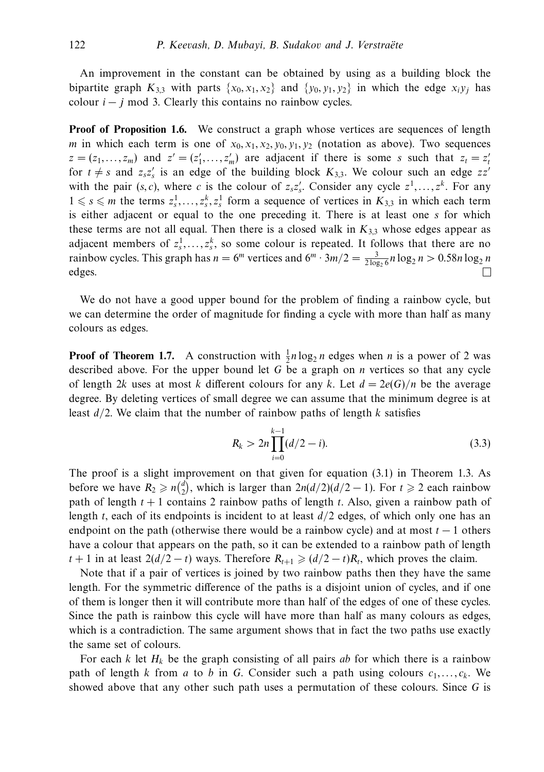An improvement in the constant can be obtained by using as a building block the bipartite graph  $K_{3,3}$  with parts  $\{x_0, x_1, x_2\}$  and  $\{y_0, y_1, y_2\}$  in which the edge  $x_i y_i$  has colour  $i - j$  mod 3. Clearly this contains no rainbow cycles.

**Proof of Proposition 1.6.** We construct a graph whose vertices are sequences of length *m* in which each term is one of  $x_0, x_1, x_2, y_0, y_1, y_2$  (notation as above). Two sequences  $z = (z_1, \ldots, z_m)$  and  $z' = (z'_1, \ldots, z'_m)$  are adjacent if there is some *s* such that  $z_t = z'_t$ for  $t \neq s$  and  $z_s z_s'$  is an edge of the building block  $K_{3,3}$ . We colour such an edge  $zz'$ with the pair  $(s, c)$ , where *c* is the colour of  $z_s z_s'$ . Consider any cycle  $z^1, \ldots, z^k$ . For any  $1 \le s \le m$  the terms  $z_s^1, \ldots, z_s^k, z_s^1$  form a sequence of vertices in  $K_{3,3}$  in which each term is either adjacent or equal to the one preceding it. There is at least one *s* for which these terms are not all equal. Then there is a closed walk in  $K_{3,3}$  whose edges appear as adjacent members of  $z_3^1, \ldots, z_s^k$ , so some colour is repeated. It follows that there are no rainbow cycles. This graph has  $n = 6^m$  vertices and  $6^m \cdot 3m/2 = \frac{3}{2 \log_2 6} n \log_2 n > 0.58 n \log_2 n$ edges.

We do not have a good upper bound for the problem of finding a rainbow cycle, but we can determine the order of magnitude for finding a cycle with more than half as many colours as edges.

**Proof of Theorem 1.7.** A construction with  $\frac{1}{2}n \log_2 n$  edges when *n* is a power of 2 was described above. For the upper bound let *G* be a graph on *n* vertices so that any cycle of length 2*k* uses at most *k* different colours for any *k*. Let  $d = 2e(G)/n$  be the average degree. By deleting vertices of small degree we can assume that the minimum degree is at least *d/*2. We claim that the number of rainbow paths of length *k* satisfies

$$
R_k > 2n \prod_{i=0}^{k-1} (d/2 - i).
$$
 (3.3)

The proof is a slight improvement on that given for equation (3.1) in Theorem 1.3. As before we have  $R_2 \geq n {d \choose 2}$ , which is larger than  $2n(d/2)(d/2 - 1)$ . For  $t \geq 2$  each rainbow path of length *t* + 1 contains 2 rainbow paths of length *t*. Also, given a rainbow path of length *t*, each of its endpoints is incident to at least *d/*2 edges, of which only one has an endpoint on the path (otherwise there would be a rainbow cycle) and at most  $t - 1$  others have a colour that appears on the path, so it can be extended to a rainbow path of length *t* + 1 in at least  $2(d/2 - t)$  ways. Therefore  $R_{t+1}$  ≥  $(d/2 - t)R_t$ , which proves the claim.

Note that if a pair of vertices is joined by two rainbow paths then they have the same length. For the symmetric difference of the paths is a disjoint union of cycles, and if one of them is longer then it will contribute more than half of the edges of one of these cycles. Since the path is rainbow this cycle will have more than half as many colours as edges, which is a contradiction. The same argument shows that in fact the two paths use exactly the same set of colours.

For each  $k$  let  $H_k$  be the graph consisting of all pairs *ab* for which there is a rainbow path of length *k* from *a* to *b* in *G*. Consider such a path using colours  $c_1, \ldots, c_k$ . We showed above that any other such path uses a permutation of these colours. Since *G* is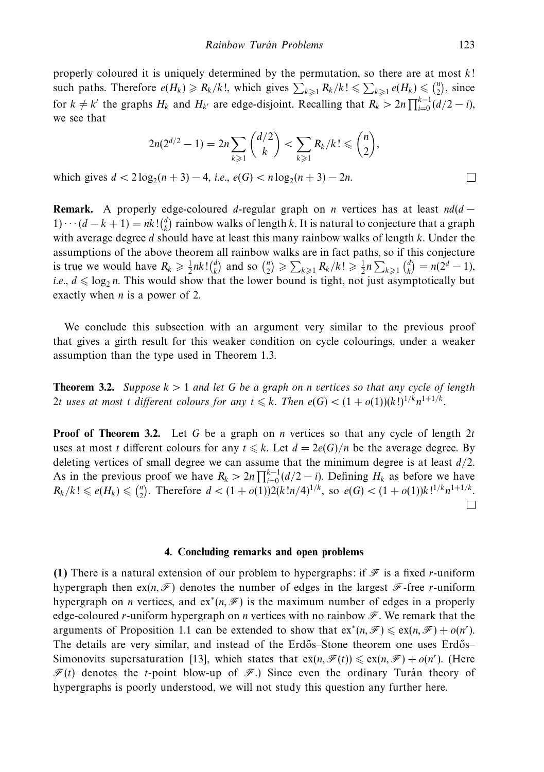properly coloured it is uniquely determined by the permutation, so there are at most *k*! such paths. Therefore  $e(H_k) \ge R_k/k!$ , which gives  $\sum_{k\ge 1} R_k/k! \le \sum_{k\ge 1} e(H_k) \le {n \choose 2}$ , since for  $k \neq k'$  the graphs  $H_k$  and  $H_{k'}$  are edge-disjoint. Recalling that  $R_k > 2n \prod_{i=0}^{k-1} (d/2 - i)$ , we see that

$$
2n(2^{d/2} - 1) = 2n \sum_{k \ge 1} {d/2 \choose k} < \sum_{k \ge 1} R_k/k! \le {n \choose 2},
$$
  
g<sub>2</sub>(n + 3) – 4, i.e.,  $e(G) < n \log_2(n + 3) - 2n$ .

which gives  $d < 2 \log_2(n+3) - 4$ , *i.e.*,  $e(G) < n \log_2(n+3) - 2n$ .

**Remark.** A properly edge-coloured *d*-regular graph on *n* vertices has at least *nd*(*d* − 1)···  $(d - k + 1) = nk! {d \choose k}$  rainbow walks of length *k*. It is natural to conjecture that a graph with average degree *d* should have at least this many rainbow walks of length *k*. Under the assumptions of the above theorem all rainbow walks are in fact paths, so if this conjecture is true we would have  $R_k \ge \frac{1}{2}nk! {d \choose k}$  and so  ${n \choose 2} \ge \sum_{k \ge 1} R_k/k! \ge \frac{1}{2}n \sum_{k \ge 1} {d \choose k} = n(2^d - 1)$ , *i.e.,*  $d \leq \log_2 n$ *.* This would show that the lower bound is tight, not just asymptotically but exactly when *n* is a power of 2.

We conclude this subsection with an argument very similar to the previous proof that gives a girth result for this weaker condition on cycle colourings, under a weaker assumption than the type used in Theorem 1.3.

**Theorem 3.2.** Suppose  $k > 1$  and let G be a graph on *n* vertices so that any cycle of length 2*t* uses at most *t* different colours for any  $t \leq k$ . Then  $e(G) < (1 + o(1))(k!)^{1/k}n^{1+1/k}$ .

**Proof of Theorem 3.2.** Let G be a graph on *n* vertices so that any cycle of length 2*t* uses at most *t* different colours for any  $t \le k$ . Let  $d = 2e(G)/n$  be the average degree. By deleting vertices of small degree we can assume that the minimum degree is at least *d/*2. As in the previous proof we have  $R_k > 2n \prod_{i=0}^{k-1} (d/2 - i)$ . Defining  $H_k$  as before we have  $R_k/k! \leq e(H_k) \leq \binom{n}{2}$ . Therefore  $d < (1 + o(1))2(k!n/4)^{1/k}$ , so  $e(G) < (1 + o(1))k!^{1/k}n^{1+1/k}$ .  $\Box$ 

### **4. Concluding remarks and open problems**

**(1)** There is a natural extension of our problem to hypergraphs: if  $\mathcal{F}$  is a fixed *r*-uniform hypergraph then  $ex(n,\mathcal{F})$  denotes the number of edges in the largest  $\mathcal{F}$ -free *r*-uniform hypergraph on *n* vertices, and  $ex^*(n, \mathcal{F})$  is the maximum number of edges in a properly edge-coloured *r*-uniform hypergraph on *n* vertices with no rainbow  $\mathscr{F}$ . We remark that the arguments of Proposition 1.1 can be extended to show that  $ex^*(n, \mathcal{F}) \le ex(n, \mathcal{F}) + o(n^r)$ . The details are very similar, and instead of the Erdős–Stone theorem one uses Erdős– Simonovits supersaturation [13], which states that  $ex(n, \mathcal{F}(t)) \le ex(n, \mathcal{F}) + o(n^r)$ . (Here  $\mathcal{F}(t)$  denotes the *t*-point blow-up of  $\mathcal{F}$ .) Since even the ordinary Turan theory of hypergraphs is poorly understood, we will not study this question any further here.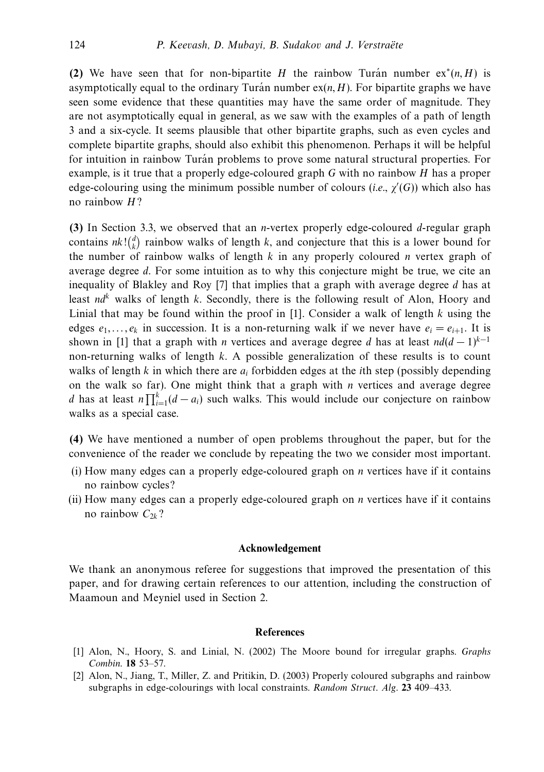**(2)** We have seen that for non-bipartite *H* the rainbow Turan number  $ex^*(n, H)$  is asymptotically equal to the ordinary Turan number  $ex(n, H)$ . For bipartite graphs we have seen some evidence that these quantities may have the same order of magnitude. They are not asymptotically equal in general, as we saw with the examples of a path of length 3 and a six-cycle. It seems plausible that other bipartite graphs, such as even cycles and complete bipartite graphs, should also exhibit this phenomenon. Perhaps it will be helpful for intuition in rainbow Turán problems to prove some natural structural properties. For example, is it true that a properly edge-coloured graph *G* with no rainbow *H* has a proper edge-colouring using the minimum possible number of colours (i.e., *χ* (*G*)) which also has no rainbow *H*?

**(3)** In Section 3.3, we observed that an *n*-vertex properly edge-coloured *d*-regular graph contains  $nk! \binom{d}{k}$  rainbow walks of length *k*, and conjecture that this is a lower bound for the number of rainbow walks of length *k* in any properly coloured *n* vertex graph of average degree *d*. For some intuition as to why this conjecture might be true, we cite an inequality of Blakley and Roy [7] that implies that a graph with average degree *d* has at least  $nd^k$  walks of length *k*. Secondly, there is the following result of Alon, Hoory and Linial that may be found within the proof in [1]. Consider a walk of length *k* using the edges  $e_1, \ldots, e_k$  in succession. It is a non-returning walk if we never have  $e_i = e_{i+1}$ . It is shown in [1] that a graph with *n* vertices and average degree *d* has at least  $nd(d-1)^{k-1}$ non-returning walks of length *k*. A possible generalization of these results is to count walks of length *k* in which there are *ai* forbidden edges at the *i*th step (possibly depending on the walk so far). One might think that a graph with *n* vertices and average degree *d* has at least  $n \prod_{i=1}^{k} (d - a_i)$  such walks. This would include our conjecture on rainbow walks as a special case.

**(4)** We have mentioned a number of open problems throughout the paper, but for the convenience of the reader we conclude by repeating the two we consider most important.

- (i) How many edges can a properly edge-coloured graph on *n* vertices have if it contains no rainbow cycles?
- (ii) How many edges can a properly edge-coloured graph on *n* vertices have if it contains no rainbow  $C_{2k}$ ?

### **Acknowledgement**

We thank an anonymous referee for suggestions that improved the presentation of this paper, and for drawing certain references to our attention, including the construction of Maamoun and Meyniel used in Section 2.

### **References**

- [1] Alon, N., Hoory, S. and Linial, N. (2002) The Moore bound for irregular graphs. Graphs Combin. **18** 53–57.
- [2] Alon, N., Jiang, T., Miller, Z. and Pritikin, D. (2003) Properly coloured subgraphs and rainbow subgraphs in edge-colourings with local constraints. Random Struct. Alg. **23** 409–433.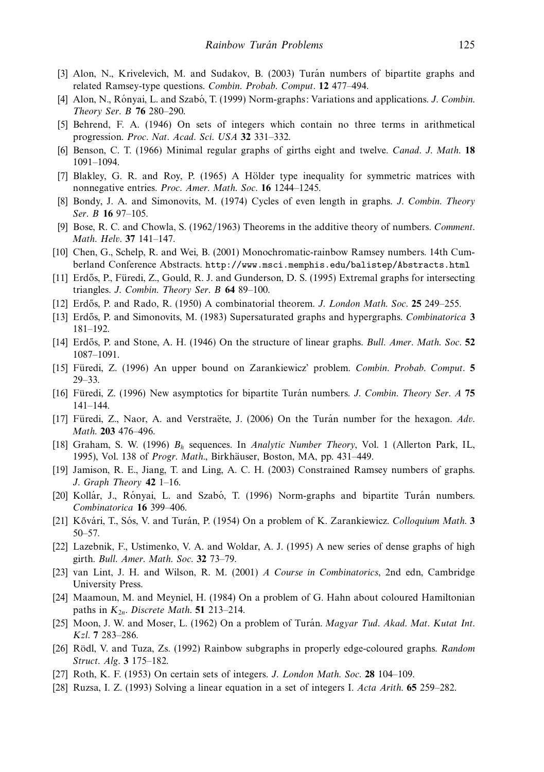- [3] Alon, N., Krivelevich, M. and Sudakov, B. (2003) Turán numbers of bipartite graphs and related Ramsey-type questions. Combin. Probab. Comput. **12** 477–494.
- [4] Alon, N., Rónyai, L. and Szabó, T. (1999) Norm-graphs: Variations and applications. J. Combin. Theory Ser. B **76** 280–290.
- [5] Behrend, F. A. (1946) On sets of integers which contain no three terms in arithmetical progression. Proc. Nat. Acad. Sci. USA **32** 331–332.
- [6] Benson, C. T. (1966) Minimal regular graphs of girths eight and twelve. Canad. J. Math. **18** 1091–1094.
- [7] Blakley, G. R. and Roy, P. (1965) A Hölder type inequality for symmetric matrices with nonnegative entries. Proc. Amer. Math. Soc. **16** 1244–1245.
- [8] Bondy, J. A. and Simonovits, M. (1974) Cycles of even length in graphs. J. Combin. Theory Ser. B **16** 97–105.
- [9] Bose, R. C. and Chowla, S. (1962/1963) Theorems in the additive theory of numbers. Comment. Math. Helv. **37** 141–147.
- [10] Chen, G., Schelp, R. and Wei, B. (2001) Monochromatic-rainbow Ramsey numbers. 14th Cumberland Conference Abstracts. http://www.msci.memphis.edu/balistep/Abstracts.html
- [11] Erdős, P., Füredi, Z., Gould, R. J. and Gunderson, D. S. (1995) Extremal graphs for intersecting triangles. J. Combin. Theory Ser. B **64** 89–100.
- [12] Erd˝os, P. and Rado, R. (1950) A combinatorial theorem. J. London Math. Soc. **25** 249–255.
- [13] Erd˝os, P. and Simonovits, M. (1983) Supersaturated graphs and hypergraphs. Combinatorica **3** 181–192.
- [14] Erd˝os, P. and Stone, A. H. (1946) On the structure of linear graphs. Bull. Amer. Math. Soc. **52** 1087–1091.
- [15] Füredi, Z. (1996) An upper bound on Zarankiewicz' problem. Combin. Probab. Comput. **5** 29–33.
- [16] Füredi, Z. (1996) New asymptotics for bipartite Turan numbers. *J. Combin. Theory Ser. A* 75 141–144.
- [17] Füredi, Z., Naor, A. and Verstraëte, J. (2006) On the Turan number for the hexagon.  $Adv.$ Math. **203** 476–496.
- [18] Graham, S. W. (1996) *Bh* sequences. In Analytic Number Theory, Vol. 1 (Allerton Park, IL, 1995), Vol. 138 of Progr. Math., Birkhäuser, Boston, MA, pp. 431-449.
- [19] Jamison, R. E., Jiang, T. and Ling, A. C. H. (2003) Constrained Ramsey numbers of graphs. J. Graph Theory **42** 1–16.
- [20] Kollár, J., Rónyai, L. and Szabó, T. (1996) Norm-graphs and bipartite Turán numbers. Combinatorica **16** 399–406.
- [21] Kővári, T., Sós, V. and Turán, P. (1954) On a problem of K. Zarankiewicz. *Colloquium Math.* **3** 50–57.
- [22] Lazebnik, F., Ustimenko, V. A. and Woldar, A. J. (1995) A new series of dense graphs of high girth. Bull. Amer. Math. Soc. **32** 73–79.
- [23] van Lint, J. H. and Wilson, R. M. (2001) A Course in Combinatorics, 2nd edn, Cambridge University Press.
- [24] Maamoun, M. and Meyniel, H. (1984) On a problem of G. Hahn about coloured Hamiltonian paths in *K*<sup>2</sup>*n*. Discrete Math. **51** 213–214.
- [25] Moon, J. W. and Moser, L. (1962) On a problem of Turán. Magyar Tud. Akad. Mat. Kutat Int. Kzl. **7** 283–286.
- [26] Rödl, V. and Tuza, Zs. (1992) Rainbow subgraphs in properly edge-coloured graphs. Random Struct. Alg. **3** 175–182.
- [27] Roth, K. F. (1953) On certain sets of integers. J. London Math. Soc. **28** 104–109.
- [28] Ruzsa, I. Z. (1993) Solving a linear equation in a set of integers I. Acta Arith. **65** 259–282.